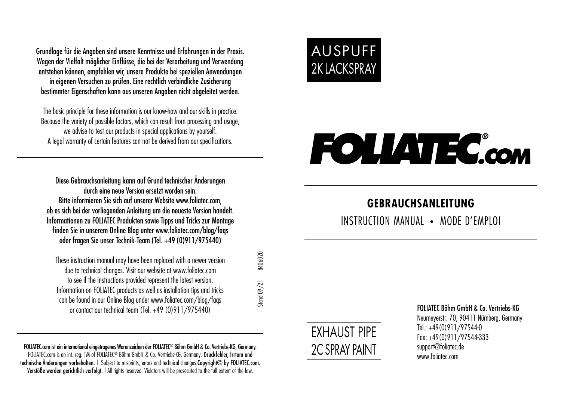Grundlage für die Angaben sind unsere Kenntnisse und Erfahrungen in der Praxis. Wegen der Vielfalt möglicher Finflüsse, die bei der Verarbeitung und Verwendung entstehen können, empfehlen wir, unsere Produkte bei speziellen Anwendungen in eigenen Versuchen zu prüfen. Eine rechtlich verbindliche Zusicherung bestimmter Eigenschaften kann aus unseren Angaben nicht abgeleitet werden.

The basic principle for these information is our know-how and our skills in practice. Because the variety of possible factors, which can result from processing and usage, we advise to test our products in special applications by yourself. A legal warranty of certain features can not be derived from our specifications.

Diese Gebrauchsanleitung kann auf Grund technischer Änderungen durch eine neue Version ersetzt worden sein. Bitte informieren Sie sich auf unserer Website www.foliatec.com, ob es sich bei der vorliegenden Anleitung um die neueste Version handelt. Informationen zu FOLIATEC Produkten sowie Tipps und Tricks zur Montage finden Sie in unserem Online Blog unter www.foliatec.com/blog/faqs oder fragen Sie unser Technik-Team (Tel. +49 (0)911/975440)

These instruction manual may have been replaced with a newer version due to technical changes. Visit our website at www.foliatec.com to see if the instructions provided represent the latest version. Information on FOLIATEC products as well as installation tips and tricks can be found in our Online Blog under www.foliatec.com/blog/faqs or contact our technical team (Tel. +49 (0)911/975440)

FOLIATEC.com ist ein international eingetragenes Warenzeichen der FOLIATEC® Böhm GmbH & Co. Vertriebs-KG, Germany. FOLIATEC.com is an int. reg. TM of FOLIATEC® Böhm GmbH & Co. Vertriebs-KG, Germany. Druckfehler, Irrtum und technische Änderungen vorbehalten. | Subject to misprints, errors and technical changes.Copyright© by FOLIATEC.com. Verstöße werden gerichtlich verfolgt. | All rights reserved. Violators will be prosecuted to the full extent of the law.



# **FOLIATEC.com**

# **GEBRAUCHSANLEITUNG**

INSTRUCTION MANUAL **•** MODE D'EMPLOI



Stand 09/21 8406020

 $\frac{3}{2}$  and  $\frac{09}{21}$ 

3406020

FOLIATEC Böhm GmbH & Co. Vertriebs-KG Neumeyerstr. 70, 90411 Nürnberg, Germany Tel.: +49(0)911/97544-0 Fax: +49(0)911/97544-333 support@foliatec.de www.foliatec.com